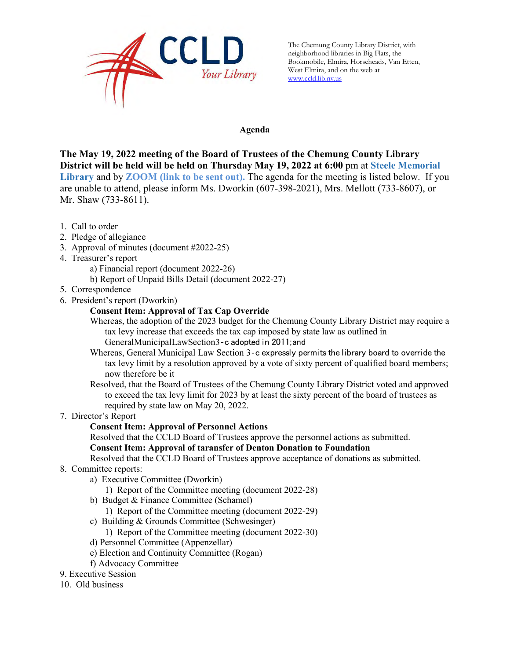

The Chemung County Library District, with neighborhood libraries in Big Flats, the Bookmobile, Elmira, Horseheads, Van Etten, West Elmira, and on the web at [www.ccld.lib.ny.us](http://www.ccld.lib.ny.us/)

#### **Agenda**

**The May 19, 2022 meeting of the Board of Trustees of the Chemung County Library District will be held will be held on Thursday May 19, 2022 at 6:00** pm at **Steele Memorial Library** and by **ZOOM (link to be sent out).** The agenda for the meeting is listed below. If you are unable to attend, please inform Ms. Dworkin (607-398-2021), Mrs. Mellott (733-8607), or Mr. Shaw (733-8611).

- 1. Call to order
- 2. Pledge of allegiance
- 3. Approval of minutes (document #2022-25)
- 4. Treasurer's report
	- a) Financial report (document 2022-26)
	- b) Report of Unpaid Bills Detail (document 2022-27)
- 5. Correspondence
- 6. President's report (Dworkin)
	- **Consent Item: Approval of Tax Cap Override**
	- Whereas, the adoption of the 2023 budget for the Chemung County Library District may require a tax levy increase that exceeds the tax cap imposed by state law as outlined in GeneralMunicipalLawSection3‐c adopted in 2011;and
	- Whereas, General Municipal Law Section 3‐c expressly permits the library board to override the tax levy limit by a resolution approved by a vote of sixty percent of qualified board members; now therefore be it
	- Resolved, that the Board of Trustees of the Chemung County Library District voted and approved to exceed the tax levy limit for 2023 by at least the sixty percent of the board of trustees as required by state law on May 20, 2022.
- 7. Director's Report
	- **Consent Item: Approval of Personnel Actions**
	- Resolved that the CCLD Board of Trustees approve the personnel actions as submitted. **Consent Item: Approval of taransfer of Denton Donation to Foundation**

Resolved that the CCLD Board of Trustees approve acceptance of donations as submitted.

- 8. Committee reports:
	- a) Executive Committee (Dworkin)
		- 1) Report of the Committee meeting (document 2022-28)
	- b) Budget & Finance Committee (Schamel)
		- 1) Report of the Committee meeting (document 2022-29)
	- c) Building & Grounds Committee (Schwesinger)
		- 1) Report of the Committee meeting (document 2022-30)
	- d) Personnel Committee (Appenzellar)
	- e) Election and Continuity Committee (Rogan)
	- f) Advocacy Committee
- 9. Executive Session
- 10. Old business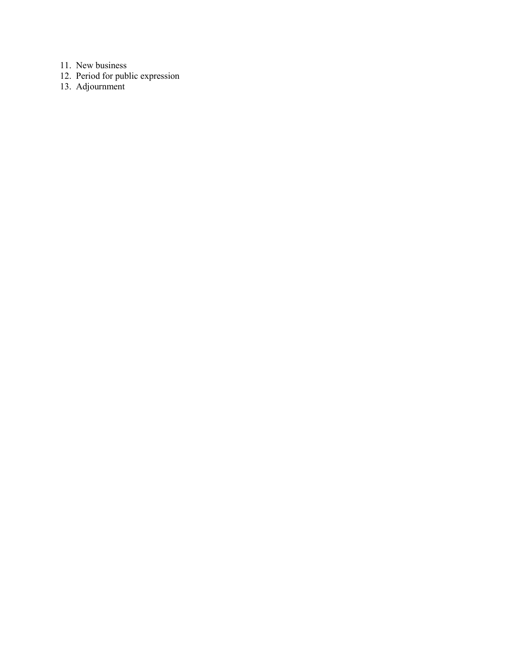11. New business

- 12. Period for public expression
- 13. Adjournment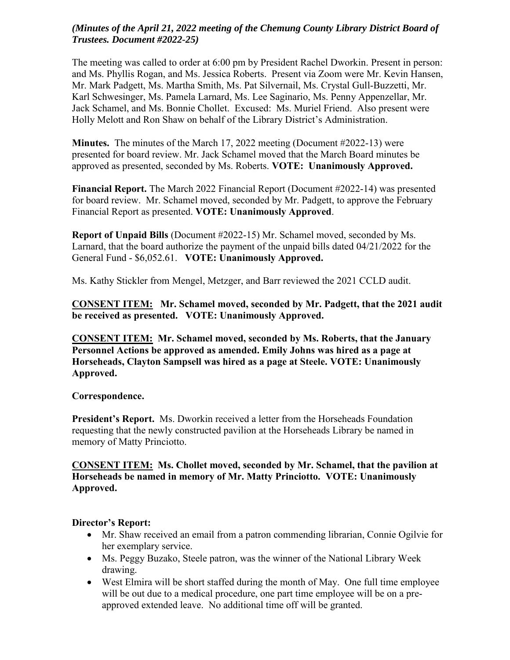## *(Minutes of the April 21, 2022 meeting of the Chemung County Library District Board of Trustees. Document #2022-25)*

The meeting was called to order at 6:00 pm by President Rachel Dworkin. Present in person: and Ms. Phyllis Rogan, and Ms. Jessica Roberts. Present via Zoom were Mr. Kevin Hansen, Mr. Mark Padgett, Ms. Martha Smith, Ms. Pat Silvernail, Ms. Crystal Gull-Buzzetti, Mr. Karl Schwesinger, Ms. Pamela Larnard, Ms. Lee Saginario, Ms. Penny Appenzellar, Mr. Jack Schamel, and Ms. Bonnie Chollet. Excused: Ms. Muriel Friend. Also present were Holly Melott and Ron Shaw on behalf of the Library District's Administration.

**Minutes.** The minutes of the March 17, 2022 meeting (Document #2022-13) were presented for board review. Mr. Jack Schamel moved that the March Board minutes be approved as presented, seconded by Ms. Roberts. **VOTE: Unanimously Approved.**

**Financial Report.** The March 2022 Financial Report (Document #2022-14) was presented for board review. Mr. Schamel moved, seconded by Mr. Padgett, to approve the February Financial Report as presented. **VOTE: Unanimously Approved**.

**Report of Unpaid Bills** (Document #2022-15) Mr. Schamel moved, seconded by Ms. Larnard, that the board authorize the payment of the unpaid bills dated 04/21/2022 for the General Fund - \$6,052.61. **VOTE: Unanimously Approved.** 

Ms. Kathy Stickler from Mengel, Metzger, and Barr reviewed the 2021 CCLD audit.

**CONSENT ITEM: Mr. Schamel moved, seconded by Mr. Padgett, that the 2021 audit be received as presented. VOTE: Unanimously Approved.** 

**CONSENT ITEM: Mr. Schamel moved, seconded by Ms. Roberts, that the January Personnel Actions be approved as amended. Emily Johns was hired as a page at Horseheads, Clayton Sampsell was hired as a page at Steele. VOTE: Unanimously Approved.** 

### **Correspondence.**

**President's Report.** Ms. Dworkin received a letter from the Horseheads Foundation requesting that the newly constructed pavilion at the Horseheads Library be named in memory of Matty Princiotto.

#### **CONSENT ITEM: Ms. Chollet moved, seconded by Mr. Schamel, that the pavilion at Horseheads be named in memory of Mr. Matty Princiotto. VOTE: Unanimously Approved.**

### **Director's Report:**

- Mr. Shaw received an email from a patron commending librarian, Connie Ogilvie for her exemplary service.
- Ms. Peggy Buzako, Steele patron, was the winner of the National Library Week drawing.
- West Elmira will be short staffed during the month of May. One full time employee will be out due to a medical procedure, one part time employee will be on a preapproved extended leave. No additional time off will be granted.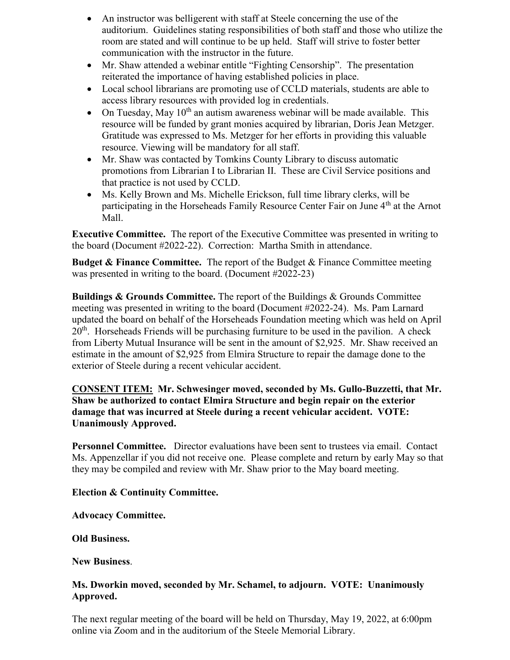- An instructor was belligerent with staff at Steele concerning the use of the auditorium. Guidelines stating responsibilities of both staff and those who utilize the room are stated and will continue to be up held. Staff will strive to foster better communication with the instructor in the future.
- Mr. Shaw attended a webinar entitle "Fighting Censorship". The presentation reiterated the importance of having established policies in place.
- Local school librarians are promoting use of CCLD materials, students are able to access library resources with provided log in credentials.
- On Tuesday, May  $10^{th}$  an autism awareness webinar will be made available. This resource will be funded by grant monies acquired by librarian, Doris Jean Metzger. Gratitude was expressed to Ms. Metzger for her efforts in providing this valuable resource. Viewing will be mandatory for all staff.
- Mr. Shaw was contacted by Tomkins County Library to discuss automatic promotions from Librarian I to Librarian II. These are Civil Service positions and that practice is not used by CCLD.
- Ms. Kelly Brown and Ms. Michelle Erickson, full time library clerks, will be participating in the Horseheads Family Resource Center Fair on June 4<sup>th</sup> at the Arnot Mall.

**Executive Committee.** The report of the Executive Committee was presented in writing to the board (Document #2022-22). Correction: Martha Smith in attendance.

**Budget & Finance Committee.** The report of the Budget & Finance Committee meeting was presented in writing to the board. (Document #2022-23)

**Buildings & Grounds Committee.** The report of the Buildings & Grounds Committee meeting was presented in writing to the board (Document #2022-24). Ms. Pam Larnard updated the board on behalf of the Horseheads Foundation meeting which was held on April 20<sup>th</sup>. Horseheads Friends will be purchasing furniture to be used in the pavilion. A check from Liberty Mutual Insurance will be sent in the amount of \$2,925. Mr. Shaw received an estimate in the amount of \$2,925 from Elmira Structure to repair the damage done to the exterior of Steele during a recent vehicular accident.

**CONSENT ITEM: Mr. Schwesinger moved, seconded by Ms. Gullo-Buzzetti, that Mr. Shaw be authorized to contact Elmira Structure and begin repair on the exterior damage that was incurred at Steele during a recent vehicular accident. VOTE: Unanimously Approved.** 

**Personnel Committee.** Director evaluations have been sent to trustees via email. Contact Ms. Appenzellar if you did not receive one. Please complete and return by early May so that they may be compiled and review with Mr. Shaw prior to the May board meeting.

**Election & Continuity Committee.** 

**Advocacy Committee.** 

**Old Business.**

**New Business**.

## **Ms. Dworkin moved, seconded by Mr. Schamel, to adjourn. VOTE: Unanimously Approved.**

The next regular meeting of the board will be held on Thursday, May 19, 2022, at 6:00pm online via Zoom and in the auditorium of the Steele Memorial Library.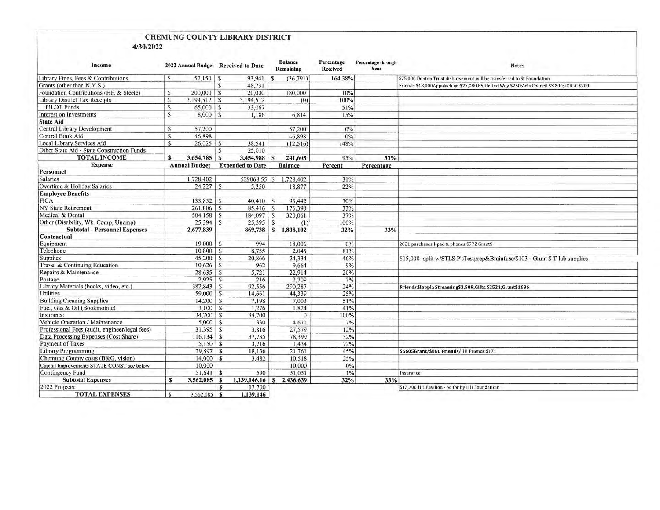# CHEMUNG COUNTY LIBRARY DISTRICT

4/30/2022

| Income                                         |              | 2022 Annual Budget Received to Date |               |                                       | <b>Balance</b><br>Remaining | Percentage<br><b>Received</b> | <b>Percentage through</b><br>Year | <b>Notes</b>                                                                              |  |  |
|------------------------------------------------|--------------|-------------------------------------|---------------|---------------------------------------|-----------------------------|-------------------------------|-----------------------------------|-------------------------------------------------------------------------------------------|--|--|
| Library Fines, Fees & Contributions            | S            | $57,150$ \ \$                       |               |                                       | (36,791)                    | 164.38%                       |                                   | \$75,000 Denton Trust disbursement will be transferred to St Foundation                   |  |  |
| Grants (other than N.Y.S.)                     |              |                                     | $\mathsf{s}$  | 48,731                                |                             |                               |                                   | Friends:\$18,000Appalachian:\$27,080.85;United Way \$250;Arts Council \$3,200;SCRLC \$200 |  |  |
| Foundation Contributions (HH & Steele)         | S            | $200,000$   \$                      |               | 20,000                                | 180,000                     | 10%                           |                                   |                                                                                           |  |  |
| Library District Tax Receipts                  | S            | $3,194,512$   \$                    |               | 3,194,512                             | (0)                         | 100%                          |                                   |                                                                                           |  |  |
| <b>PILOT Funds</b>                             | $\mathsf{S}$ | $65,000$ \ \$                       |               | 33,067                                |                             | 51%                           |                                   |                                                                                           |  |  |
| Interest on Investments                        | S.           | $8,000$ \ \$                        |               | 1,186                                 | 6,814                       | 15%                           |                                   |                                                                                           |  |  |
| <b>State Aid</b>                               |              |                                     |               |                                       |                             |                               |                                   |                                                                                           |  |  |
| Central Library Development                    | S            | 57,200                              |               |                                       | 57,200                      | 0%                            |                                   |                                                                                           |  |  |
| Central Book Aid                               | S.           | 46,898                              |               |                                       | 46,898                      | 0%                            |                                   |                                                                                           |  |  |
| Local Library Services Aid                     | $\mathbf{s}$ | 26,025                              | <sub>S</sub>  | 38,541                                | (12, 516)                   | 148%                          |                                   |                                                                                           |  |  |
| Other State Aid - State Construction Funds     |              |                                     | S.            | 25,010                                |                             |                               |                                   |                                                                                           |  |  |
| <b>TOTAL INCOME</b>                            | S            | 3,654,785                           | <b>S</b>      | $3,454,988$ \$                        | 241,605                     | 95%                           | 33%                               |                                                                                           |  |  |
| <b>Expense</b>                                 |              |                                     |               | <b>Annual Budget</b> Expended to Date | <b>Balance</b>              | Percent                       | Percentage                        |                                                                                           |  |  |
| Personnel                                      |              |                                     |               |                                       |                             |                               |                                   |                                                                                           |  |  |
| <b>Salaries</b>                                |              | 1,728,402                           |               | 529068.55 \$                          | 1,728,402                   | 31%                           |                                   |                                                                                           |  |  |
| Overtime & Holiday Salaries                    |              |                                     |               | 5,350                                 | 18,877                      | 22%                           |                                   |                                                                                           |  |  |
| <b>Employee Benefits</b>                       |              |                                     |               |                                       |                             |                               |                                   |                                                                                           |  |  |
| <b>FICA</b>                                    |              | $133,852$   \$                      |               | $40,410$ \$                           | 93,442                      | 30%                           |                                   |                                                                                           |  |  |
| <b>NY State Retirement</b>                     |              |                                     |               | $85,416$ \$                           | 176,390                     | 33%                           |                                   |                                                                                           |  |  |
| Medical & Dental                               |              | $504,158$ \ \$                      |               | $184,097$ \$                          | 320,061                     | 37%                           |                                   |                                                                                           |  |  |
| Other (Disability, Wk. Comp, Unemp)            |              | $25,394$ \$                         |               | $25,395$ \$                           | (1)                         | 100%                          |                                   |                                                                                           |  |  |
| <b>Subtotal - Personnel Expenses</b>           |              | 2,677,839                           |               |                                       | 869,738 \$1,808,102         | 32%                           | 33%                               |                                                                                           |  |  |
| Contractual                                    |              |                                     |               |                                       |                             |                               |                                   |                                                                                           |  |  |
| Equipment                                      |              | $19,000$   \$                       |               | 994                                   | 18,006                      | 0%                            |                                   | 2021 purchases: I-pad & phones: \$772 Grant\$                                             |  |  |
| Telephone                                      |              | $10,800$ \ \$                       |               | 8,755                                 | 2,045                       | 81%                           |                                   |                                                                                           |  |  |
| <b>Supplies</b>                                |              |                                     |               | 20,866                                | 24,334                      | 46%                           |                                   | \$15,000=split w/STLS:P'sTestprep&Brainfuse/\$103 - Grant \$ T-lab supplies               |  |  |
| Travel & Continuing Education                  |              | $10,626$ \$                         |               | 962                                   | 9,664                       | 9%                            |                                   |                                                                                           |  |  |
| Repairs & Maintenance                          |              | $28,635$ \$                         |               | 5,721                                 | 22,914                      | 20%                           |                                   |                                                                                           |  |  |
| Postage                                        |              | $2,925$ \$                          |               | 216                                   | 2.709                       | 7%                            |                                   |                                                                                           |  |  |
| Library Materials (books, video, etc.)         |              | $382,843$ \$                        |               | 92,556                                | 290,287                     | 24%                           |                                   | Friends:Hoopla Streaming\$3,509;Gifts:\$2521;Grant\$1636                                  |  |  |
| Utilities                                      |              | $59,000$ \ \$                       |               | 14,661                                | 44,339                      | 25%                           |                                   |                                                                                           |  |  |
| <b>Building Cleaning Supplies</b>              |              | $14,200$   S                        |               | 7,198                                 | 7.003                       | 51%                           |                                   |                                                                                           |  |  |
| Fuel, Gas & Oil (Bookmobile)                   |              |                                     |               | 1,276                                 | 1,824                       | 41%                           |                                   |                                                                                           |  |  |
| Insurance                                      |              | 34,700                              | l S           | 34,700                                | $\mathbf{0}$                | 100%                          |                                   |                                                                                           |  |  |
| Vehicle Operation / Maintenance                |              |                                     |               | 330                                   | 4,671                       | 7%                            |                                   |                                                                                           |  |  |
| Professional Fees (audit, engineer/legal fees) |              | $31,395$ S                          |               | 3,816                                 | 27,579                      | 12%                           |                                   |                                                                                           |  |  |
| Data Processing Expenses (Cost Share)          |              | $116, 134$ \$                       |               | 37,735                                | 78,399                      | 32%                           |                                   |                                                                                           |  |  |
| Payment of Taxes                               |              | $5,150$ \$                          |               | 3,716                                 | 1,434                       | 72%                           |                                   |                                                                                           |  |  |
| Library Programming                            |              |                                     |               | 18,136                                | 21,761                      | 45%                           |                                   | \$6605Grant/\$866 Friends/HH Friends \$171                                                |  |  |
| Chemung County costs (B&G, vision)             |              | $14,000$ \$                         |               | 3,482                                 | 10,518                      | 25%                           |                                   |                                                                                           |  |  |
| Capital Improvements STATE CONST see below     |              | 10,000                              |               |                                       | 10,000                      | 0%                            |                                   |                                                                                           |  |  |
| Contingency Fund                               |              | $51,641$ \$                         |               | 590                                   | 51,051                      | 1%                            |                                   | Insurance                                                                                 |  |  |
| <b>Subtotal Expenses</b>                       | $\mathbf{s}$ | $3,562,085$ \$                      |               | $1,139,146.16$ \$                     | 2,436,639                   | 32%                           | 33%                               |                                                                                           |  |  |
| 2022 Projects:                                 |              |                                     | $\mathcal{S}$ | 13,700                                |                             |                               |                                   | \$13,700 HH Pavilion - pd for by HH Foundatioin                                           |  |  |
| <b>TOTAL EXPENSES</b>                          | s            |                                     |               | 1,139,146                             |                             |                               |                                   |                                                                                           |  |  |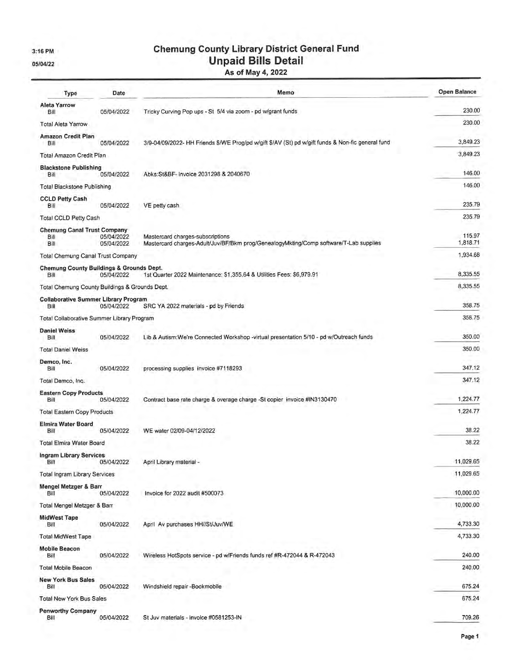3:16 PM

05/04/22

# **Chemung County Library District General Fund Unpaid Bills Detail**

As of May 4, 2022

| <b>Type</b>                                                 | Date                     | Memo                                                                                                                      | <b>Open Balance</b> |
|-------------------------------------------------------------|--------------------------|---------------------------------------------------------------------------------------------------------------------------|---------------------|
| <b>Aleta Yarrow</b><br>Bill                                 | 05/04/2022               | Tricky Curving Pop ups - St 5/4 via zoom - pd w/grant funds                                                               | 230.00              |
| <b>Total Aleta Yarrow</b>                                   |                          |                                                                                                                           | 230.00              |
| Amazon Credit Plan<br>Bill                                  | 05/04/2022               | 3/9-04/09/2022- HH Friends \$/WE Prog/pd w/gift \$/AV (St) pd w/gift funds & Non-fic general fund                         | 3,849.23            |
| Total Amazon Credit Plan                                    |                          |                                                                                                                           | 3,849.23            |
| <b>Blackstone Publishing</b><br>Bill                        | 05/04/2022               | Abks:St&BF- invoice 2031298 & 2040670                                                                                     | 146.00              |
| <b>Total Blackstone Publishing</b>                          |                          |                                                                                                                           | 146.00              |
| <b>CCLD Petty Cash</b><br>Bill                              | 05/04/2022               | VE petty cash                                                                                                             | 235.79              |
| <b>Total CCLD Petty Cash</b>                                |                          |                                                                                                                           | 235.79              |
| <b>Chemung Canal Trust Company</b><br>Bill<br>Bill          | 05/04/2022<br>05/04/2022 | Mastercard charges-subscriptions<br>Mastercard charges-Adult/Juv/BF/Bkm prog/GenealogyMkting/Comp software/T-Lab supplies | 115.97<br>1,818.71  |
| <b>Total Chemung Canal Trust Company</b>                    |                          |                                                                                                                           | 1,934.68            |
| <b>Chemung County Buildings &amp; Grounds Dept.</b><br>Bill | 05/04/2022               | 1st Quarter 2022 Maintenance: \$1,355.64 & Utilities Fees: \$6,979.91                                                     | 8,335.55            |
| Total Chemung County Buildings & Grounds Dept.              |                          |                                                                                                                           | 8,335.55            |
| <b>Collaborative Summer Library Program</b>                 |                          |                                                                                                                           |                     |
| Bill                                                        | 05/04/2022               | SRC YA 2022 materials - pd by Friends                                                                                     | 358.75              |
| Total Collaborative Summer Library Program                  |                          |                                                                                                                           | 358.75              |
| <b>Daniel Weiss</b><br>Bill                                 | 05/04/2022               | Lib & Autism: We're Connected Workshop - virtual presentation 5/10 - pd w/Outreach funds                                  | 350.00              |
| <b>Total Daniel Weiss</b>                                   |                          |                                                                                                                           | 350.00              |
| Demco, Inc.<br>Bill                                         | 05/04/2022               | processing supplies invoice #7118293                                                                                      | 347.12              |
| Total Demco, Inc.                                           |                          |                                                                                                                           | 347.12              |
| <b>Eastern Copy Products</b><br>Bill                        | 05/04/2022               | Contract base rate charge & overage charge -St copier invoice #IN3130470                                                  | 1,224.77            |
| <b>Total Eastern Copy Products</b>                          |                          |                                                                                                                           | 1,224.77            |
| <b>Elmira Water Board</b><br>Bill                           | 05/04/2022               | WE water 02/09-04/12/2022                                                                                                 | 38.22               |
| <b>Total Elmira Water Board</b>                             |                          |                                                                                                                           | 38.22               |
| <b>Ingram Library Services</b><br>Bill                      | 05/04/2022               | April Library material -                                                                                                  | 11,029.65           |
| <b>Total Ingram Library Services</b>                        |                          |                                                                                                                           | 11,029.65           |
| <b>Mengel Metzger &amp; Barr</b><br>Bill                    | 05/04/2022               | Invoice for 2022 audit #500073                                                                                            | 10,000.00           |
| Total Mengel Metzger & Barr                                 |                          |                                                                                                                           | 10,000.00           |
| <b>MidWest Tape</b><br>Bill                                 | 05/04/2022               | April Av purchases HH//St/Juv/WE                                                                                          | 4,733.30            |
| <b>Total MidWest Tape</b>                                   |                          |                                                                                                                           | 4,733.30            |
| <b>Mobile Beacon</b><br>Bill                                | 05/04/2022               | Wireless HotSpots service - pd w/Friends funds ref #R-472044 & R-472043                                                   | 240.00              |
| <b>Total Mobile Beacon</b>                                  |                          |                                                                                                                           | 240.00              |
| <b>New York Bus Sales</b>                                   |                          |                                                                                                                           |                     |
| Bill                                                        | 05/04/2022               | Windshield repair -Bookmobile                                                                                             | 675.24              |
| <b>Total New York Bus Sales</b>                             |                          |                                                                                                                           | 675.24              |
| <b>Penworthy Company</b><br>Bill                            | 05/04/2022               | St Juv materials - invoice #0581253-IN                                                                                    | 709.26              |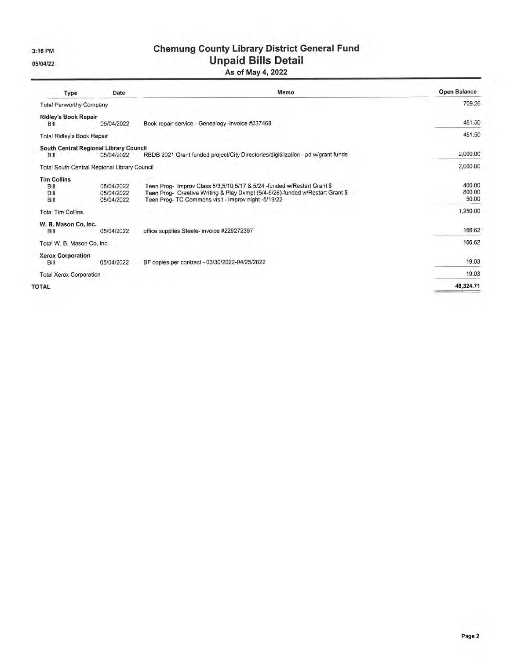3:16 PM

05/04/22

## **Chemung County Library District General Fund Unpaid Bills Detail** As of May 4, 2022

| Type                                           | Date                                   | Memo                                                                                                                                                                                                           | <b>Open Balance</b>       |
|------------------------------------------------|----------------------------------------|----------------------------------------------------------------------------------------------------------------------------------------------------------------------------------------------------------------|---------------------------|
| <b>Total Penworthy Company</b>                 |                                        |                                                                                                                                                                                                                | 709.26                    |
| <b>Ridley's Book Repair</b><br>Bill            | 05/04/2022                             | Book repair service - Genealogy -invoice #237468                                                                                                                                                               | 451.50                    |
| Total Ridley's Book Repair                     |                                        |                                                                                                                                                                                                                | 451.50                    |
| South Central Regional Library Council<br>Bill | 05/04/2022                             | RBDB 2021 Grant funded project/City Directories/digitilization - pd w/grant funds                                                                                                                              | 2,000.00                  |
| Total South Central Regional Library Council   |                                        |                                                                                                                                                                                                                | 2,000.00                  |
| <b>Tim Collins</b><br>Bill<br>Bill<br>Bill     | 05/04/2022<br>05/04/2022<br>05/04/2022 | Teen Prog- Improv Class 5/3,5/10,5/17 & 5/24 -funded w/Restart Grant \$<br>Teen Prog- Creative Writing & Play Dvmpt (5/4-5/26)-funded w/Restart Grant \$<br>Teen Prog-TC Commons visit - Improv night -5/19/22 | 400.00<br>800.00<br>50.00 |
| <b>Total Tim Collins</b>                       |                                        |                                                                                                                                                                                                                | 1,250.00                  |
| W. B. Mason Co. Inc.<br>Bill                   | 05/04/2022                             | office supplies Steele- invoice #229272397                                                                                                                                                                     | 166.62                    |
| Total W. B. Mason Co, Inc.                     |                                        |                                                                                                                                                                                                                | 166.62                    |
| <b>Xerox Corporation</b><br>Bill               | 05/04/2022                             | BF copies per contract - 03/30/2022-04/25/2022                                                                                                                                                                 | 19.03                     |
| <b>Total Xerox Corporation</b>                 |                                        |                                                                                                                                                                                                                | 19.03                     |
| <b>TOTAL</b>                                   |                                        |                                                                                                                                                                                                                | 48,324.71                 |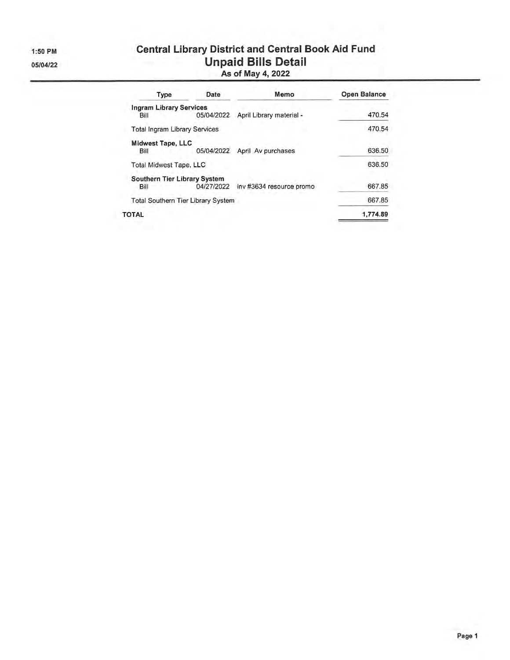1:50 PM 05/04/22

# **Central Library District and Central Book Aid Fund Unpaid Bills Detail**<br>As of May 4, 2022

| Type                                 | Date                                      | Memo                     | <b>Open Balance</b> |  |  |
|--------------------------------------|-------------------------------------------|--------------------------|---------------------|--|--|
| <b>Ingram Library Services</b>       |                                           |                          |                     |  |  |
| Bill                                 | 05/04/2022                                | April Library material - | 470.54              |  |  |
| <b>Total Ingram Library Services</b> |                                           |                          | 470.54              |  |  |
| <b>Midwest Tape, LLC</b>             |                                           |                          |                     |  |  |
| Bill                                 | 05/04/2022                                | April Av purchases       | 636.50              |  |  |
| <b>Total Midwest Tape, LLC</b>       |                                           |                          | 636.50              |  |  |
| Southern Tier Library System         |                                           |                          |                     |  |  |
| Bill                                 | 04/27/2022                                | inv #3634 resource promo | 667.85              |  |  |
|                                      | <b>Total Southern Tier Library System</b> |                          | 667.85              |  |  |
| TOTAL                                |                                           |                          | 1,774.89            |  |  |
|                                      |                                           |                          |                     |  |  |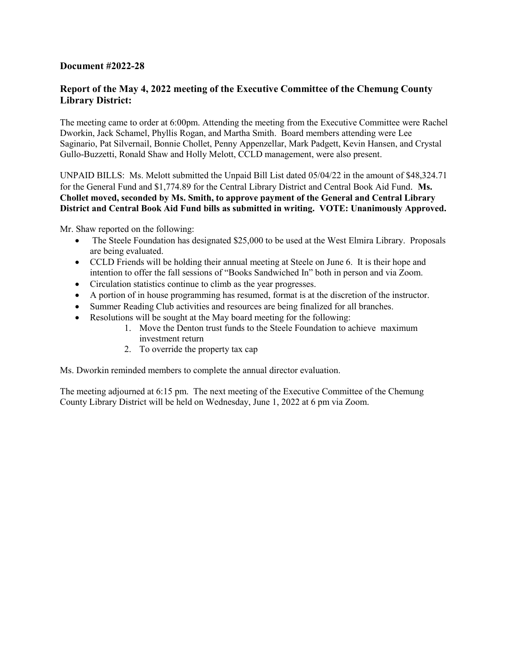#### **Document #2022-28**

#### **Report of the May 4, 2022 meeting of the Executive Committee of the Chemung County Library District:**

The meeting came to order at 6:00pm. Attending the meeting from the Executive Committee were Rachel Dworkin, Jack Schamel, Phyllis Rogan, and Martha Smith. Board members attending were Lee Saginario, Pat Silvernail, Bonnie Chollet, Penny Appenzellar, Mark Padgett, Kevin Hansen, and Crystal Gullo-Buzzetti, Ronald Shaw and Holly Melott, CCLD management, were also present.

UNPAID BILLS: Ms. Melott submitted the Unpaid Bill List dated 05/04/22 in the amount of \$48,324.71 for the General Fund and \$1,774.89 for the Central Library District and Central Book Aid Fund. **Ms. Chollet moved, seconded by Ms. Smith, to approve payment of the General and Central Library District and Central Book Aid Fund bills as submitted in writing. VOTE: Unanimously Approved.** 

Mr. Shaw reported on the following:

- The Steele Foundation has designated \$25,000 to be used at the West Elmira Library. Proposals are being evaluated.
- CCLD Friends will be holding their annual meeting at Steele on June 6. It is their hope and intention to offer the fall sessions of "Books Sandwiched In" both in person and via Zoom.
- Circulation statistics continue to climb as the year progresses.
- A portion of in house programming has resumed, format is at the discretion of the instructor.
- Summer Reading Club activities and resources are being finalized for all branches.
- Resolutions will be sought at the May board meeting for the following:
	- 1. Move the Denton trust funds to the Steele Foundation to achieve maximum investment return
	- 2. To override the property tax cap

Ms. Dworkin reminded members to complete the annual director evaluation.

The meeting adjourned at 6:15 pm. The next meeting of the Executive Committee of the Chemung County Library District will be held on Wednesday, June 1, 2022 at 6 pm via Zoom.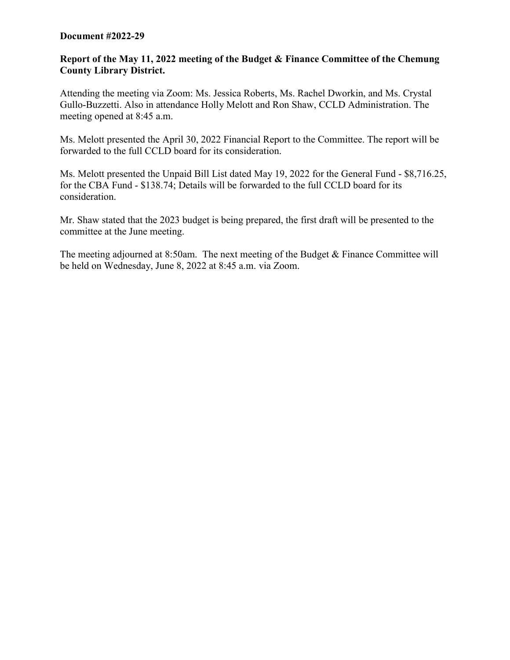#### **Document #2022-29**

#### **Report of the May 11, 2022 meeting of the Budget & Finance Committee of the Chemung County Library District.**

Attending the meeting via Zoom: Ms. Jessica Roberts, Ms. Rachel Dworkin, and Ms. Crystal Gullo-Buzzetti. Also in attendance Holly Melott and Ron Shaw, CCLD Administration. The meeting opened at 8:45 a.m.

Ms. Melott presented the April 30, 2022 Financial Report to the Committee. The report will be forwarded to the full CCLD board for its consideration.

Ms. Melott presented the Unpaid Bill List dated May 19, 2022 for the General Fund - \$8,716.25, for the CBA Fund - \$138.74; Details will be forwarded to the full CCLD board for its consideration.

Mr. Shaw stated that the 2023 budget is being prepared, the first draft will be presented to the committee at the June meeting.

The meeting adjourned at 8:50am. The next meeting of the Budget  $\&$  Finance Committee will be held on Wednesday, June 8, 2022 at 8:45 a.m. via Zoom.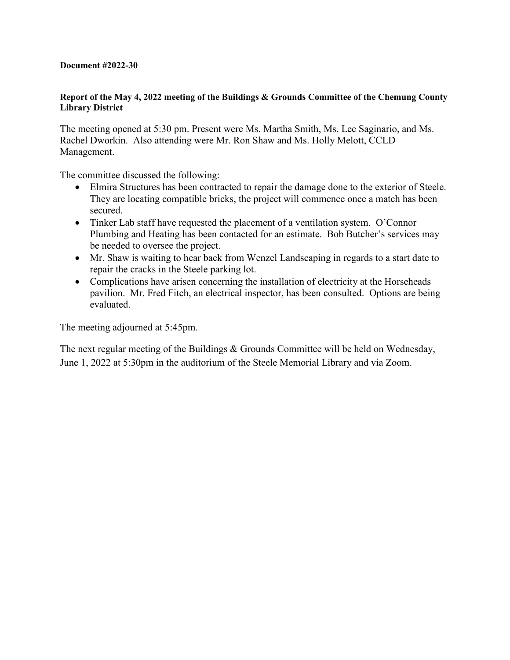#### **Document #2022-30**

#### **Report of the May 4, 2022 meeting of the Buildings & Grounds Committee of the Chemung County Library District**

The meeting opened at 5:30 pm. Present were Ms. Martha Smith, Ms. Lee Saginario, and Ms. Rachel Dworkin. Also attending were Mr. Ron Shaw and Ms. Holly Melott, CCLD Management.

The committee discussed the following:

- Elmira Structures has been contracted to repair the damage done to the exterior of Steele. They are locating compatible bricks, the project will commence once a match has been secured.
- Tinker Lab staff have requested the placement of a ventilation system. O'Connor Plumbing and Heating has been contacted for an estimate. Bob Butcher's services may be needed to oversee the project.
- Mr. Shaw is waiting to hear back from Wenzel Landscaping in regards to a start date to repair the cracks in the Steele parking lot.
- Complications have arisen concerning the installation of electricity at the Horseheads pavilion. Mr. Fred Fitch, an electrical inspector, has been consulted. Options are being evaluated.

The meeting adjourned at 5:45pm.

The next regular meeting of the Buildings & Grounds Committee will be held on Wednesday, June 1, 2022 at 5:30pm in the auditorium of the Steele Memorial Library and via Zoom.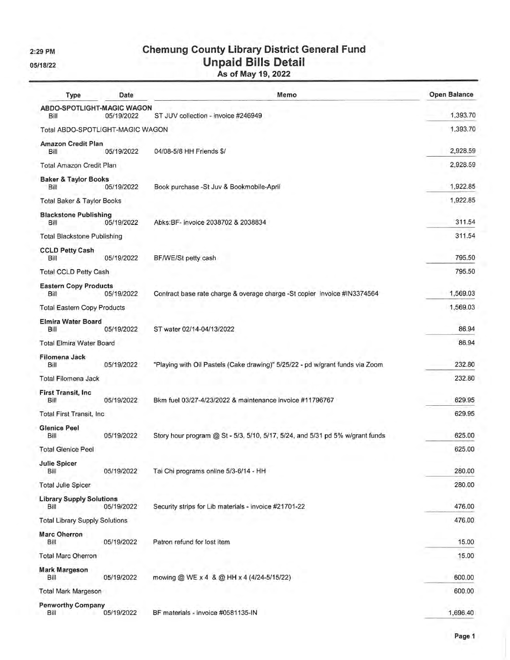2:29 PM

05/18/22

# **Chemung County Library District General Fund** Unpaid Bills Detail<br>As of May 19, 2022

| Type                                    | Date       | Memo                                                                          | <b>Open Balance</b> |
|-----------------------------------------|------------|-------------------------------------------------------------------------------|---------------------|
| ABDO-SPOTLIGHT-MAGIC WAGON<br>Bill      | 05/19/2022 | ST JUV collection - invoice #246949                                           | 1,393.70            |
| Total ABDO-SPOTLIGHT-MAGIC WAGON        |            |                                                                               | 1,393.70            |
| <b>Amazon Credit Plan</b><br>Bill       | 05/19/2022 | 04/08-5/8 HH Friends \$/                                                      | 2,928.59            |
| Total Amazon Credit Plan                |            |                                                                               | 2,928.59            |
| <b>Baker &amp; Taylor Books</b><br>Bill | 05/19/2022 | Book purchase -St Juv & Bookmobile-April                                      | 1,922.85            |
| Total Baker & Taylor Books              |            |                                                                               | 1,922.85            |
| <b>Blackstone Publishing</b><br>Bill    | 05/19/2022 | Abks: BF- invoice 2038702 & 2038834                                           | 311.54              |
| <b>Total Blackstone Publishing</b>      |            |                                                                               | 311.54              |
| <b>CCLD Petty Cash</b><br>Bill          | 05/19/2022 | BF/WE/St petty cash                                                           | 795.50              |
| <b>Total CCLD Petty Cash</b>            |            |                                                                               | 795.50              |
| <b>Eastern Copy Products</b><br>Bill    | 05/19/2022 | Contract base rate charge & overage charge -St copier invoice #IN3374564      | 1,569.03            |
| <b>Total Eastern Copy Products</b>      |            |                                                                               | 1,569.03            |
| <b>Elmira Water Board</b><br>Bill       | 05/19/2022 | ST water 02/14-04/13/2022                                                     | 86.94               |
| <b>Total Elmira Water Board</b>         |            |                                                                               | 86.94               |
| Filomena Jack<br>Bill                   | 05/19/2022 | "Playing with Oil Pastels (Cake drawing)" 5/25/22 - pd w/grant funds via Zoom | 232.80              |
| Total Filomena Jack                     |            |                                                                               | 232.80              |
| First Transit, Inc.<br>Bill             | 05/19/2022 | Bkm fuel 03/27-4/23/2022 & maintenance invoice #11796767                      | 629.95              |
| <b>Total First Transit, Inc.</b>        |            |                                                                               | 629.95              |
| <b>Glenice Peel</b><br>Bill             | 05/19/2022 | Story hour program @ St - 5/3, 5/10, 5/17, 5/24, and 5/31 pd 5% w/grant funds | 625.00              |
| <b>Total Glenice Peel</b>               |            |                                                                               | 625.00              |
| <b>Julie Spicer</b><br>Bill             | 05/19/2022 | Tai Chi programs online 5/3-6/14 - HH                                         | 280.00              |
| <b>Total Julie Spicer</b>               |            |                                                                               | 280.00              |
| <b>Library Supply Solutions</b><br>Bill | 05/19/2022 | Security strips for Lib materials - invoice #21701-22                         | 476.00              |
| <b>Total Library Supply Solutions</b>   |            |                                                                               | 476.00              |
| <b>Marc Oherron</b><br>Bill             | 05/19/2022 | Patron refund for lost item                                                   | 15.00               |
| <b>Total Marc Oherron</b>               |            |                                                                               | 15.00               |
| <b>Mark Margeson</b><br><b>Bill</b>     | 05/19/2022 | mowing @ WE x 4 & @ HH x 4 (4/24-5/15/22)                                     | 600.00              |
| <b>Total Mark Margeson</b>              |            |                                                                               | 600.00              |
| <b>Penworthy Company</b><br>Bill        | 05/19/2022 | BF materials - invoice #0581135-IN                                            | 1,696.40            |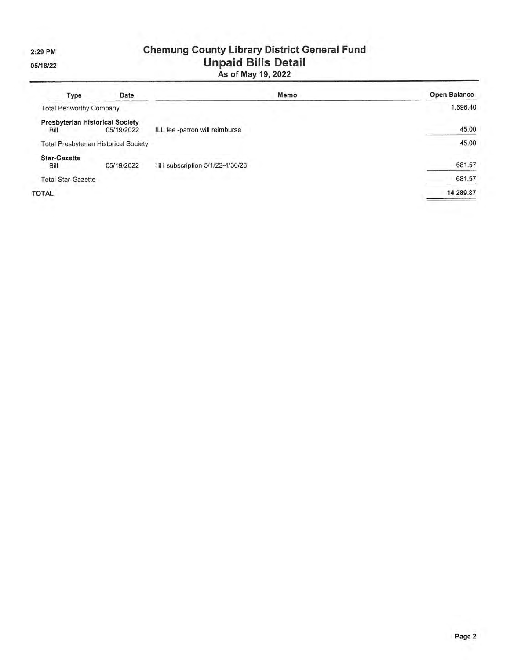2:29 PM

05/18/22

# **Chemung County Library District General Fund** Unpaid Bills Detail<br>As of May 19, 2022

| Type                           | Date                                                 | Memo                           | <b>Open Balance</b> |
|--------------------------------|------------------------------------------------------|--------------------------------|---------------------|
| <b>Total Penworthy Company</b> |                                                      |                                | 1,696.40            |
| Bill                           | <b>Presbyterian Historical Society</b><br>05/19/2022 | ILL fee -patron will reimburse | 45.00               |
|                                | <b>Total Presbyterian Historical Society</b>         |                                | 45.00               |
| <b>Star-Gazette</b><br>Bill    | 05/19/2022                                           | HH subscription 5/1/22-4/30/23 | 681.57              |
| <b>Total Star-Gazette</b>      |                                                      |                                | 681.57              |
| <b>TOTAL</b>                   |                                                      |                                | 14,289.87           |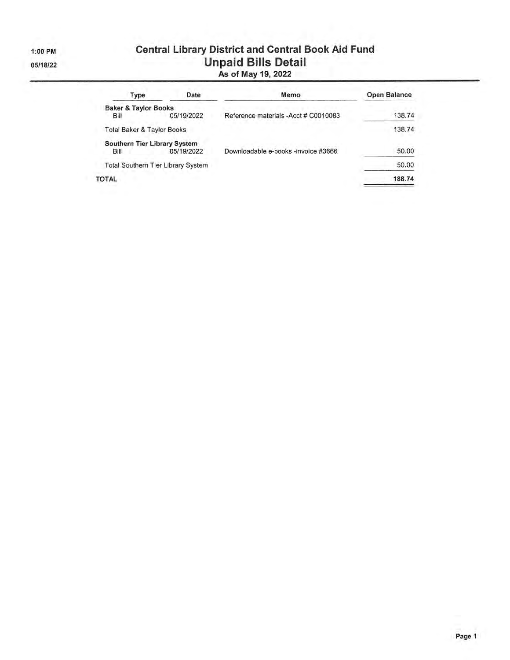1:00 PM

05/18/22

# **Central Library District and Central Book Aid Fund** Unpaid Bills Detail<br>As of May 19, 2022

| Date                                  | Memo                                 | Open Balance |
|---------------------------------------|--------------------------------------|--------------|
| <b>Baker &amp; Taylor Books</b>       |                                      |              |
| 05/19/2022                            | Reference materials -Acct # C0010083 | 138.74       |
| <b>Total Baker &amp; Taylor Books</b> |                                      | 138.74       |
| Southern Tier Library System          |                                      |              |
| 05/19/2022                            | Downloadable e-books -invoice #3666  | 50.00        |
| Total Southern Tier Library System    |                                      | 50.00        |
|                                       |                                      | 188.74       |
|                                       |                                      |              |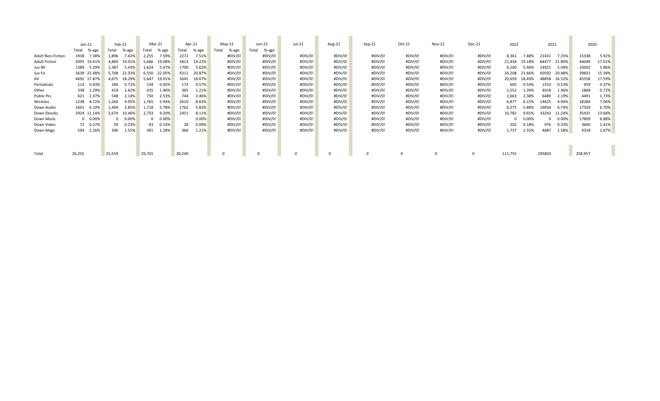|                          | $Jan-21$       | Feb-21          | Mar-21          | Apr-21         | $May-21$       | Jun-21         | Jul-21  | Aug-21  | $Sep-21$ | Oct-21  | Nov-21  | Dec-21  | 2022             | 2021            | 2020            |
|--------------------------|----------------|-----------------|-----------------|----------------|----------------|----------------|---------|---------|----------|---------|---------|---------|------------------|-----------------|-----------------|
|                          | %-age<br>Total | %-age<br>Total  | %-age<br>Total  | Total<br>%-age | Total<br>%-age | Total<br>%-age |         |         |          |         |         |         |                  |                 |                 |
| <b>Adult Non-Fiction</b> | 1938<br>7.38%  | 1,896<br>7.42%  | 2,255<br>7.59%  | 2272<br>7.51%  | #DIV/0!        | #DIV/0!        | #DIV/0! | #DIV/0! | #DIV/0!  | #DIV/0! | #DIV/0! | #DIV/0! | 8,361<br>7.48%   | 21431<br>7.25%  | 15338<br>5.92%  |
| <b>Adult Fiction</b>     | 5095 19.41%    | 4,860<br>19.01% | 5,666<br>19.08% | 5813<br>19.22% | #DIV/0!        | #DIV/0!        | #DIV/0! | #DIV/0! | #DIV/0!  | #DIV/0! | #DIV/0! | #DIV/0! | 21,434<br>19.18% | 21.80%<br>64477 | 44049<br>17.01% |
| Juv NF                   | 1389<br>5.29%  | 1,387<br>5.43%  | 1.624<br>5.47%  | 1700<br>5.62%  | #DIV/0!        | #DIV/0!        | #DIV/0! | #DIV/0! | #DIV/0!  | #DIV/0! | #DIV/0! | #DIV/0! | 6,100<br>5.46%   | 14921<br>5.04%  | 10002<br>3.86%  |
| Juv Fic                  | 5639 21.48%    | 5.708<br>22.33% | 22.05%<br>6.550 | 6311<br>20.87% | #DIV/0!        | #DIV/0!        | #DIV/0! | #DIV/0! | #DIV/0!  | #DIV/0! | #DIV/0! | #DIV/0! | 24,208<br>21.66% | 60592<br>20.48% | 39831<br>15.38% |
| AV                       | 4692 17.87%    | 18.29%<br>4,675 | 5.647<br>19.01% | 5645<br>18.67% | #DIV/0!        | #DIV/0!        | #DIV/0! | #DIV/0! | #DIV/0!  | #DIV/0! | #DIV/0! | #DIV/0! | 20,659<br>18.49% | 48858<br>16.52% | 45558<br>17.59% |
| Periodicals              | 114 0.43%      | 0.72%<br>184    | 134<br>0.45%    | 173<br>0.57%   | #DIV/0!        | #DIV/0!        | #DIV/0! | #DIV/0! | #DIV/0!  | #DIV/0! | #DIV/0! | #DIV/0! | 605<br>0.54%     | 1553<br>0.53%   | 959<br>0.37%    |
| Other                    | 338 1.29%      | 1.62%<br>414    | 435<br>1.46%    | 365<br>1.21%   | #DIV/0!        | #DIV/0!        | #DIV/0! | #DIV/0! | #DIV/0!  | #DIV/0! | #DIV/0! | #DIV/0! | 1,552<br>1.39%   | 4018<br>1.36%   | 1868<br>0.72%   |
| <b>Public Pcs</b>        | 2.37%<br>621   | 548<br>2.14%    | 750<br>2.53%    | 744<br>2.46%   | #DIV/0!        | #DIV/0!        | #DIV/0! | #DIV/0! | #DIV/0!  | #DIV/0! | #DIV/0! | #DIV/0! | 2,663<br>2.38%   | 6489<br>2.19%   | 4491<br>1.73%   |
| Wireless                 | 1238<br>4.72%  | 1,264<br>4.95%  | 1,765<br>5.94%  | 2610<br>8.63%  | #DIV/0!        | #DIV/0!        | #DIV/0! | #DIV/0! | #DIV/0!  | #DIV/0! | #DIV/0! | #DIV/0! | 6,877<br>6.15%   | 14625<br>4.94%  | 18284<br>7.06%  |
| Down Audio               | 1601<br>6.10%  | 5.85%<br>1,494  | 1.718<br>5.78%  | 5.83%<br>1762  | #DIV/0!        | #DIV/0!        | #DIV/0! | #DIV/0! | #DIV/0!  | #DIV/0! | #DIV/0! | #DIV/0! | 6,575<br>5.88%   | 19934<br>6.74%  | 17359<br>6.70%  |
| Down Ebooks              | 2924 11.14%    | 2,674<br>10.46% | 2,733<br>9.20%  | 2451<br>8.11%  | #DIV/0!        | #DIV/0!        | #DIV/0! | #DIV/0! | #DIV/0!  | #DIV/0! | #DIV/0! | #DIV/0! | 10,782<br>9.65%  | 33242<br>11.24% | 35431<br>13.68% |
| Down Music               | $0 0.00\%$     | $0.00\%$        | $0 0.00\%$      | 0.00%          | #DIV/0!        | #DIV/0!        | #DIV/0! | #DIV/0! | #DIV/0!  | #DIV/0! | #DIV/0! | #DIV/0! | $0.00\%$         | $0.00\%$<br>0   | 17809<br>6.88%  |
| Down Video               | 72 0.27%       | 0.23%<br>59     | 43 0.14%        | 0.09%<br>28    | #DIV/0!        | #DIV/0!        | #DIV/0! | #DIV/0! | #DIV/0!  | #DIV/0! | #DIV/0! | #DIV/0! | 202<br>0.18%     | 976<br>0.33%    | 3660<br>1.41%   |
| Down Mags                | 594 2.26%      | 396<br>1.55%    | 381<br>1.28%    | 366<br>1.21%   | #DIV/0!        | #DIV/0!        | #DIV/0! | #DIV/0! | #DIV/0!  | #DIV/0! | #DIV/0! | #DIV/0! | 1,737<br>1.55%   | 4687<br>1.58%   | 4318<br>1.67%   |
|                          |                |                 |                 |                |                |                |         |         |          |         |         |         |                  |                 |                 |
|                          |                |                 |                 |                |                |                |         |         |          |         |         |         |                  |                 |                 |
|                          |                |                 |                 |                |                |                |         |         |          |         |         |         |                  |                 |                 |
| Total                    | 26,255         | 25,559          | 29,701          | 30,240         |                |                |         |         |          |         |         |         | 111,755          | 295803          | 258,957         |